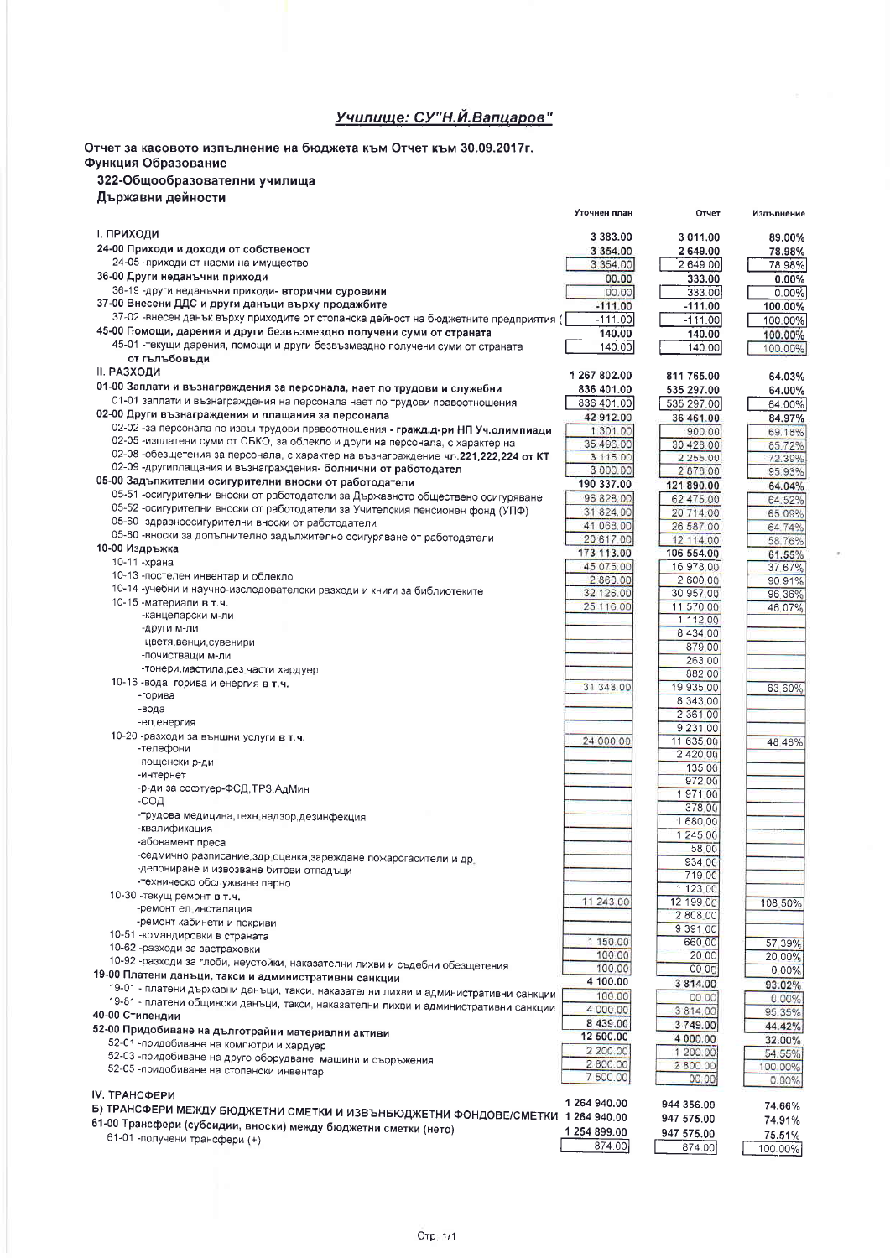## Училище: СУ"Н.Й.Вапцаров"

Отчет за касовото изпълнение на бюджета към Отчет към 30.09.2017г. Функция Образование

## 322-Общообразователни училища

| Държавни дейности |  |
|-------------------|--|

|                                                                                                                                                                  | Уточнен план            | Отчет                 | Изпълнение         |
|------------------------------------------------------------------------------------------------------------------------------------------------------------------|-------------------------|-----------------------|--------------------|
| <b>І. ПРИХОДИ</b>                                                                                                                                                | 3 383.00                | 3 011.00              | 89.00%             |
| 24-00 Приходи и доходи от собственост                                                                                                                            | 3 3 5 4 . 0 0           | 2649.00               | 78.98%             |
| 24-05 - приходи от наеми на имущество                                                                                                                            | 3 354.00                | 2 649.00              | 78.98%             |
| 36-00 Други неданъчни приходи                                                                                                                                    | 00.00                   | 333.00                | 0.00%              |
| 36-19 -други неданъчни приходи- вторични суровини                                                                                                                | 00.00                   | 333.00                | $0.00\%$           |
| 37-00 Внесени ДДС и други данъци върху продажбите<br>37-02 -внесен данък върху приходите от стопанска дейност на бюджетните предприятия (-                       | $-111.00$               | $-111.00$             | 100.00%            |
| 45-00 Помощи, дарения и други безвъзмездно получени суми от страната                                                                                             | $-111.00$<br>140.00     | $-111.00$<br>140.00   | 100.00%            |
| 45-01 - текущи дарения, помощи и други безвъзмездно получени суми от страната                                                                                    | 140.00                  | 140.00                | 100.00%<br>100.00% |
| от гълъбовъди                                                                                                                                                    |                         |                       |                    |
| <b>II. РАЗХОДИ</b>                                                                                                                                               | 1 267 802.00            | 811 765.00            | 64.03%             |
| 01-00 Заплати и възнаграждения за персонала, нает по трудови и служебни                                                                                          | 836 401.00              | 535 297.00            | 64.00%             |
| 01-01 заплати и възнаграждения на персонала нает по трудови правоотношения                                                                                       | 836 401.00              | 535 297.00            | 64.00%             |
| 02-00 Други възнаграждения и плащания за персонала                                                                                                               | 42 912.00               | 36 461.00             | 84.97%             |
| 02-02 -за персонала по извънтрудови правоотношения - гражд.д-ри НП Уч.олимпиади<br>02-05 -изплатени суми от СБКО, за облекло и други на персонала, с характер на | 1 301 00                | 900.00                | 69.18%             |
| 02-08 - обезщетения за персонала, с характер на възнаграждение чл.221,222,224 от КТ                                                                              | 35 496.00<br>3 115 00   | 30 428.00<br>2 255.00 | 85.72%<br>72.39%   |
| 02-09 -другиплащания и възнаграждения- болнични от работодател                                                                                                   | 3 000.00                | 2878.00               | 95.93%             |
| 05-00 Задължителни осигурителни вноски от работодатели                                                                                                           | 190 337.00              | 121 890.00            | 64.04%             |
| 05-51 -осигурителни вноски от работодатели за Държавното обществено осигуряване                                                                                  | 96 828.00               | 62 475.00             | 64.52%             |
| 05-52 -осигурителни вноски от работодатели за Учителския пенсионен фонд (УПФ)                                                                                    | 31 824.00               | 20 714.00             | 65.09%             |
| 05-60 -здравноосигурителни вноски от работодатели                                                                                                                | 41 068.00               | 26 587 00             | 64.74%             |
| 05-80 -вноски за допълнително задължително осигуряване от работодатели<br>10-00 Издръжка                                                                         | 20 617 00               | 12 114.00             | 58.76%             |
| 10-11 -храна                                                                                                                                                     | 173 113.00<br>45 075.00 | 106 554.00            | 61.55%             |
| 10-13 - постелен инвентар и облекло                                                                                                                              | 2 860.00                | 16 978 00<br>2 600 00 | 37.67%<br>90.91%   |
| 10-14 - учебни и научно-изследователски разходи и книги за библиотеките                                                                                          | 32 126.00               | 30 957.00             | 96,36%             |
| 10-15 -материали в т.ч.                                                                                                                                          | 25 116.00               | 11 570 00             | 46,07%             |
| -канцеларски м-ли                                                                                                                                                |                         | 1 112.00              |                    |
| -други м-ли                                                                                                                                                      |                         | 8 4 3 4 0 0           |                    |
| -цветя,венци,сувенири<br>-почистващи м-ли                                                                                                                        |                         | 879.00                |                    |
| -тонери, мастила, рез_части хардуер                                                                                                                              |                         | 263.00<br>882 00      |                    |
| 10-16 -вода, горива и енергия в т.ч.                                                                                                                             | 31 343 00               | 19 935 00             | 63.60%             |
| -горива                                                                                                                                                          |                         | 8 3 4 3 0 0           |                    |
| -вода                                                                                                                                                            |                         | 2 361 00              |                    |
| -ел енергия                                                                                                                                                      |                         | 9 2 3 1 0 0           |                    |
| 10-20 -разходи за външни услуги в т.ч.<br>-телефони                                                                                                              | 24 000 00               | 11 635 00             | 48.48%             |
| -пощенски р-ди                                                                                                                                                   |                         | 2 4 2 0 0 0           |                    |
| -интернет                                                                                                                                                        |                         | 135.00<br>972 00      |                    |
| -р-ди за софтуер-ФСД, ТРЗ, АдМин                                                                                                                                 |                         | 197100                |                    |
| -сод                                                                                                                                                             |                         | 378.00                |                    |
| -трудова медицина, техн надзор, дезинфекция                                                                                                                      |                         | 1 680 00              |                    |
| -квалификация<br>-абонамент преса                                                                                                                                |                         | 1 245 00              |                    |
| -седмично разписание, здр. оценка, зареждане пожарогасители и др.                                                                                                |                         | 58.00                 |                    |
| -депониране и извозване битови отпадъци                                                                                                                          |                         | 934.00                |                    |
| -техническо обслужване парно                                                                                                                                     |                         | 719.00<br>1 123 00    |                    |
| 10-30 - текущ ремонт в т.ч.                                                                                                                                      | 11 243.00               | 12 199 00             | 108 50%            |
| -ремонт ел инсталация                                                                                                                                            |                         | 2 808 00              |                    |
| -ремонт кабинети и покриви<br>10-51 - командировки в страната                                                                                                    |                         | 9 3 9 1 0 0           |                    |
| 10-62 -разходи за застраховки                                                                                                                                    | 1 150.00                | 660.00                | 57 39%             |
| 10-92 -разходи за глоби, неустойки, наказателни лихви и съдебни обезщетения                                                                                      | 100.00                  | 20 00                 | 20.00%             |
| 19-00 Платени данъци, такси и административни санкции                                                                                                            | 100.00<br>4 100.00      | 00 00                 | $0.00\%$           |
| 19-01 - платени държавни данъци, такси, наказателни лихви и административни санкции                                                                              | 100.00                  | 3 814.00<br>00.00     | 93.02%             |
| 19-81 - платени общински данъци, такси, наказателни лихви и административни санкции                                                                              | 4 000.00                | 3 814.00              | 0.00%<br>95.35%    |
| 40-00 Стипендии                                                                                                                                                  | 8 439.00                | 3749.00               | 44.42%             |
| 52-00 Придобиване на дълготрайни материални активи<br>52-01 - придобиване на компютри и хардуер                                                                  | 12 500.00               | 4 000.00              | 32.00%             |
| 52-03 -придобиване на друго оборудване, машини и съоръжения                                                                                                      | 2 200.00                | 1 200.00              | 54.55%             |
| 52-05 - придобиване на столански инвентар                                                                                                                        | 2800.00                 | 2 800 00              | 100.00%            |
|                                                                                                                                                                  | 7 500.00                | 00.00                 | 0.00%              |
| IV. ТРАНСФЕРИ                                                                                                                                                    | 1 264 940.00            | 944 356.00            |                    |
| Б) ТРАНСФЕРИ МЕЖДУ БЮДЖЕТНИ СМЕТКИ И ИЗВЪНБЮДЖЕТНИ ФОНДОВЕ/СМЕТКИ 1 264 940.00                                                                                   |                         | 947 575.00            | 74.66%             |
| 61-00 Трансфери (субсидии, вноски) между бюджетни сметки (нето)                                                                                                  | 1 254 899.00            | 947 575.00            | 74.91%<br>75.51%   |
| 61-01 - получени трансфери (+)                                                                                                                                   | 874.00                  | 874.00                | 100.00%            |
|                                                                                                                                                                  |                         |                       |                    |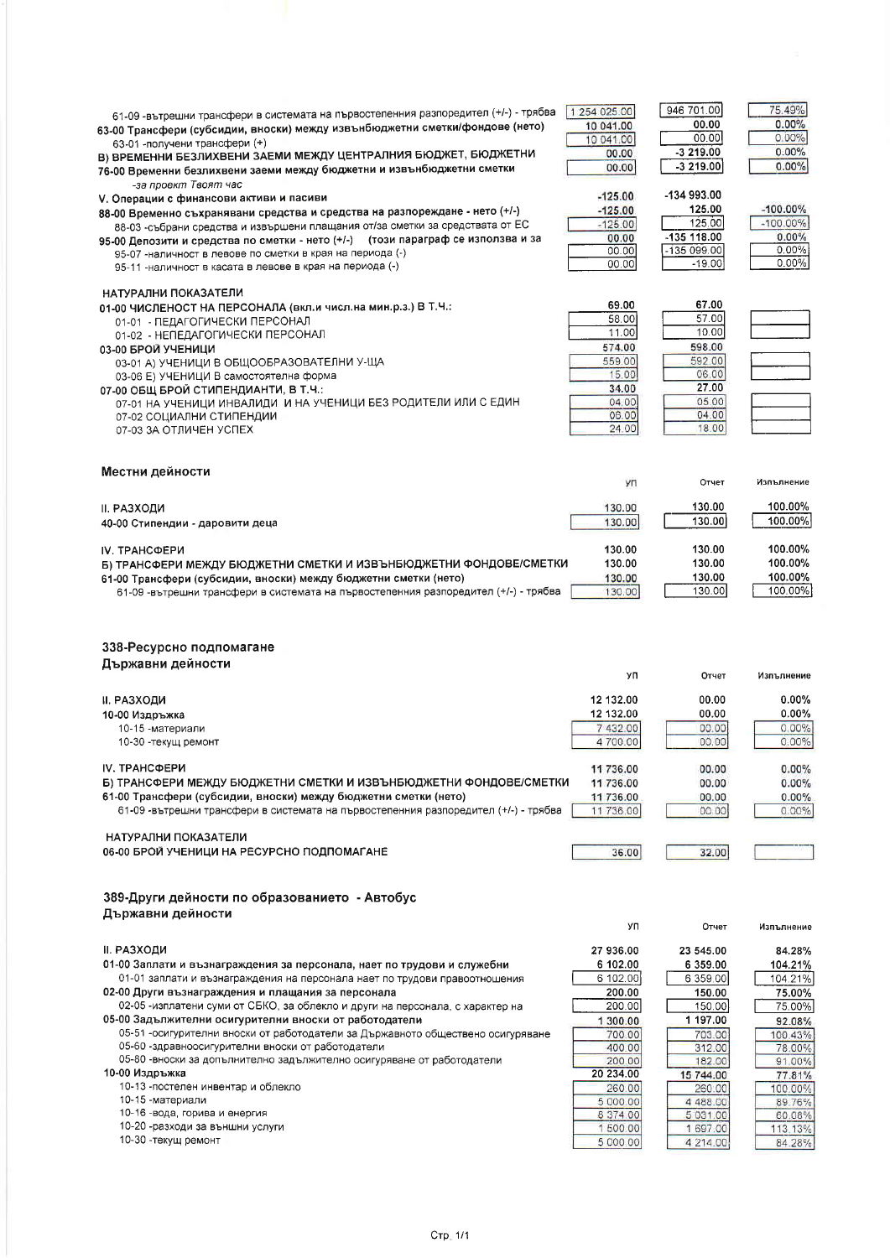| 61-09 - вътрешни трансфери в системата на първостепенния разпоредител (+/-) - трябва<br>63-00 Трансфери (субсидии, вноски) между извънбюджетни сметки/фондове (нето)<br>63-01 - получени трансфери (+)<br>В) ВРЕМЕННИ БЕЗЛИХВЕНИ ЗАЕМИ МЕЖДУ ЦЕНТРАЛНИЯ БЮДЖЕТ, БЮДЖЕТНИ<br>76-00 Временни безлихвени заеми между бюджетни и извънбюджетни сметки<br>-за проект Твоят час<br>V. Операции с финансови активи и пасиви<br>88-00 Временно съхранявани средства и средства на разпореждане - нето (+/-)<br>88-03 -събрани средства и извършени плащания от/за сметки за средствата от ЕС<br>95-00 Депозити и средства по сметки - нето (+/-) (този параграф се използва и за<br>95-07 -наличност в левове по сметки в края на периода (-)<br>95-11 -наличност в касата в левове в края на периода (-) | 1 254 0 25.00<br>10 041.00<br>10 041.00<br>00.00<br>00.00<br>$-125.00$<br>$-125.00$<br>$-125.00$<br>00.00<br>00.00<br>00.00 | 946 701.00<br>00.00<br>00.00<br>$-3219.00$<br>$-3219.00$<br>-134 993.00<br>125.00<br>125.00<br>-135 118.00<br>$-135099.00$<br>$-19.00$ | 75.49%<br>0.00%<br>0.00%<br>0.00%<br>0.00%<br>$-100.00\%$<br>$-100.00\%$<br>0.00%<br>$0.00\%$<br>$0.00\%$ |
|---------------------------------------------------------------------------------------------------------------------------------------------------------------------------------------------------------------------------------------------------------------------------------------------------------------------------------------------------------------------------------------------------------------------------------------------------------------------------------------------------------------------------------------------------------------------------------------------------------------------------------------------------------------------------------------------------------------------------------------------------------------------------------------------------|-----------------------------------------------------------------------------------------------------------------------------|----------------------------------------------------------------------------------------------------------------------------------------|-----------------------------------------------------------------------------------------------------------|
| НАТУРАЛНИ ПОКАЗАТЕЛИ<br>01-00 ЧИСЛЕНОСТ НА ПЕРСОНАЛА (вкл.и числ.на мин.р.з.) В Т.Ч.:<br>01-01 - ПЕДАГОГИЧЕСКИ ПЕРСОНАЛ<br>01-02 - НЕПЕДАГОГИЧЕСКИ ПЕРСОНАЛ<br>03-00 БРОЙ УЧЕНИЦИ<br>03-01 А) УЧЕНИЦИ В ОБЩООБРАЗОВАТЕЛНИ У-ЩА<br>03-06 Е) УЧЕНИЦИ В самостоятелна форма<br>07-00 ОБЩ БРОЙ СТИПЕНДИАНТИ, В Т.Ч.:<br>07-01 НА УЧЕНИЦИ ИНВАЛИДИ И НА УЧЕНИЦИ БЕЗ РОДИТЕЛИ ИЛИ С ЕДИН<br>07-02 СОЦИАЛНИ СТИПЕНДИИ<br>07-03 ЗА ОТЛИЧЕН УСПЕХ                                                                                                                                                                                                                                                                                                                                                          | 69.00<br>58.00<br>11.00<br>574.00<br>559.00<br>15.00<br>34.00<br>04.00<br>06.00<br>24.00                                    | 67.00<br>57.00<br>10.00<br>598.00<br>592.00<br>06.00<br>27.00<br>05.00<br>04.00<br>18.00                                               |                                                                                                           |
| Местни дейности                                                                                                                                                                                                                                                                                                                                                                                                                                                                                                                                                                                                                                                                                                                                                                                   | УП                                                                                                                          | Отчет                                                                                                                                  | Изпълнение                                                                                                |
| <b>II. РАЗХОДИ</b><br>40-00 Стипендии - даровити деца                                                                                                                                                                                                                                                                                                                                                                                                                                                                                                                                                                                                                                                                                                                                             | 130.00<br>130.00                                                                                                            | 130.00<br>130.00                                                                                                                       | 100.00%<br>100.00%                                                                                        |
| IV. TPAHCФЕРИ<br>Б) ТРАНСФЕРИ МЕЖДУ БЮДЖЕТНИ СМЕТКИ И ИЗВЪНБЮДЖЕТНИ ФОНДОВЕ/СМЕТКИ<br>61-00 Трансфери (субсидии, вноски) между бюджетни сметки (нето)<br>61-09 -вътрешни трансфери в системата на първостепенния разпоредител (+/-) - трябва                                                                                                                                                                                                                                                                                                                                                                                                                                                                                                                                                      | 130.00<br>130.00<br>130.00<br>130.00                                                                                        | 130.00<br>130.00<br>130.00<br>130.00                                                                                                   | 100.00%<br>100.00%<br>100.00%<br>100.00%                                                                  |
|                                                                                                                                                                                                                                                                                                                                                                                                                                                                                                                                                                                                                                                                                                                                                                                                   |                                                                                                                             |                                                                                                                                        |                                                                                                           |
| 338-Ресурсно подпомагане                                                                                                                                                                                                                                                                                                                                                                                                                                                                                                                                                                                                                                                                                                                                                                          |                                                                                                                             |                                                                                                                                        |                                                                                                           |
| Държавни дейности                                                                                                                                                                                                                                                                                                                                                                                                                                                                                                                                                                                                                                                                                                                                                                                 | УΠ                                                                                                                          | Отчет                                                                                                                                  | Изпълнение                                                                                                |
| ІІ. РАЗХОДИ<br>10-00 Издръжка<br>10-15 -материали<br>10-30 - текущ ремонт                                                                                                                                                                                                                                                                                                                                                                                                                                                                                                                                                                                                                                                                                                                         | 12 132.00<br>12 132.00<br>7432.00<br>4 700.00                                                                               | 00.00<br>00.00<br>00.00<br>00.00                                                                                                       | $0.00\%$<br>$0.00\%$<br>0.00%<br>0.00%                                                                    |
| <b>IV. TPAHCФEPИ</b><br>Б) ТРАНСФЕРИ МЕЖДУ БЮДЖЕТНИ СМЕТКИ И ИЗВЪНБЮДЖЕТНИ ФОНДОВЕ/СМЕТКИ<br>61-00 Трансфери (субсидии, вноски) между бюджетни сметки (нето)<br>61-09 -вътрешни трансфери в системата на първостепенния разпоредител (+/-) - трябва                                                                                                                                                                                                                                                                                                                                                                                                                                                                                                                                               | 11 736.00<br>11 736.00<br>11736.00<br>11 736.00                                                                             | 00.00<br>00.00<br>00.00<br>00.00                                                                                                       | $0.00\%$<br>0.00%<br>0.00%<br>0.00%                                                                       |
| НАТУРАЛНИ ПОКАЗАТЕЛИ<br>06-00 БРОЙ УЧЕНИЦИ НА РЕСУРСНО ПОДПОМАГАНЕ                                                                                                                                                                                                                                                                                                                                                                                                                                                                                                                                                                                                                                                                                                                                | 36.00                                                                                                                       | 32.00                                                                                                                                  |                                                                                                           |
| 389-Други дейности по образованието - Автобус<br>Държавни дейности                                                                                                                                                                                                                                                                                                                                                                                                                                                                                                                                                                                                                                                                                                                                |                                                                                                                             |                                                                                                                                        |                                                                                                           |
| ІІ. РАЗХОДИ                                                                                                                                                                                                                                                                                                                                                                                                                                                                                                                                                                                                                                                                                                                                                                                       | УП<br>27 936.00                                                                                                             | Отчет<br>23 545.00                                                                                                                     | Изпълнение<br>84.28%                                                                                      |